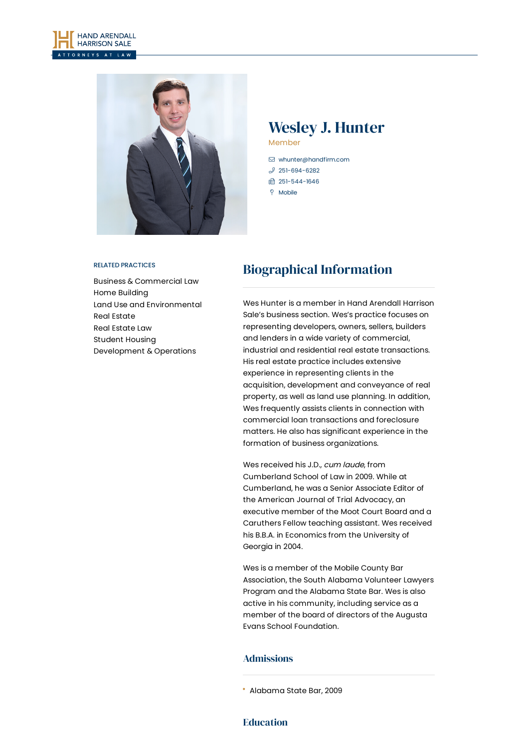



# Wesley J. Hunter Member

 [whunter@handfirm.com](mailto:whunter@handfirm.com)  $3$  [251-694-6282](tel:+1-251-694-6282) □ 251-544-1646 **P** Mobile

#### RELATED PRACTICES

Business & [Commercial](https://www.handfirm.com/practices/business-services/business-commercial-law/) Law Home [Building](https://www.handfirm.com/practices/industries/home-building/) Land Use and [Environmental](https://www.handfirm.com/practices/business-services/land-use-and-environmental/) Real [Estate](https://www.handfirm.com/practices/industries/real-estate/) Real [Estate](https://www.handfirm.com/practices/business-services/real-estate-law/) Law Student Housing [Development](https://www.handfirm.com/practices/industries/student-housing-development-operations/) & Operations

# Biographical Information

Wes Hunter is a member in Hand Arendall Harrison Sale's business section. Wes's practice focuses on representing developers, owners, sellers, builders and lenders in a wide variety of commercial, industrial and residential real estate transactions. His real estate practice includes extensive experience in representing clients in the acquisition, development and conveyance of real property, as well as land use planning. In addition, Wes frequently assists clients in connection with commercial loan transactions and foreclosure matters. He also has significant experience in the formation of business organizations.

Wes received his J.D., cum laude, from Cumberland School of Law in 2009. While at Cumberland, he was a Senior Associate Editor of the American Journal of Trial Advocacy, an executive member of the Moot Court Board and a Caruthers Fellow teaching assistant. Wes received his B.B.A. in Economics from the University of Georgia in 2004.

Wes is a member of the Mobile County Bar Association, the South Alabama Volunteer Lawyers Program and the Alabama State Bar. Wes is also active in his community, including service as a member of the board of directors of the Augusta Evans School Foundation.

### Admissions

### Education

Alabama State Bar, 2009